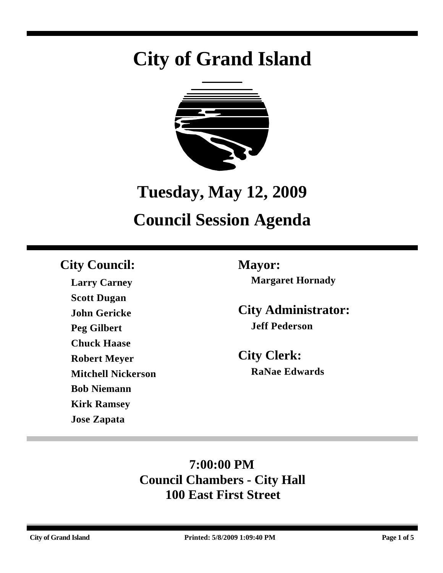# **City of Grand Island**



# **Tuesday, May 12, 2009**

# **Council Session Agenda**

## **City Council: Mayor:**

**Larry Carney Scott Dugan John Gericke Peg Gilbert Chuck Haase Robert Meyer Mitchell Nickerson Bob Niemann Kirk Ramsey Jose Zapata**

**Margaret Hornady**

**City Administrator: Jeff Pederson**

**City Clerk: RaNae Edwards**

# **7:00:00 PM Council Chambers - City Hall 100 East First Street**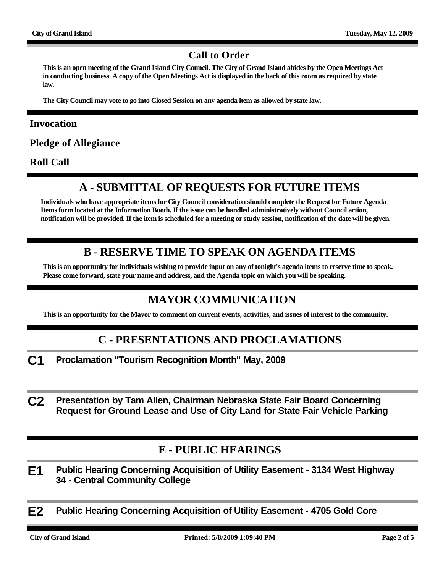#### **Call to Order**

**This is an open meeting of the Grand Island City Council. The City of Grand Island abides by the Open Meetings Act in conducting business. A copy of the Open Meetings Act is displayed in the back of this room as required by state law.**

**The City Council may vote to go into Closed Session on any agenda item as allowed by state law.**

#### **Invocation**

**Pledge of Allegiance**

**Roll Call**

### **A - SUBMITTAL OF REQUESTS FOR FUTURE ITEMS**

**Individuals who have appropriate items for City Council consideration should complete the Request for Future Agenda Items form located at the Information Booth. If the issue can be handled administratively without Council action, notification will be provided. If the item is scheduled for a meeting or study session, notification of the date will be given.**

#### **B - RESERVE TIME TO SPEAK ON AGENDA ITEMS**

**This is an opportunity for individuals wishing to provide input on any of tonight's agenda items to reserve time to speak. Please come forward, state your name and address, and the Agenda topic on which you will be speaking.**

### **MAYOR COMMUNICATION**

**This is an opportunity for the Mayor to comment on current events, activities, and issues of interest to the community.**

#### **C - PRESENTATIONS AND PROCLAMATIONS**

- **C1 Proclamation "Tourism Recognition Month" May, 2009**
- **C2 Presentation by Tam Allen, Chairman Nebraska State Fair Board Concerning Request for Ground Lease and Use of City Land for State Fair Vehicle Parking**

#### **E - PUBLIC HEARINGS**

- **E1 Public Hearing Concerning Acquisition of Utility Easement 3134 West Highway 34 - Central Community College**
- **E2 Public Hearing Concerning Acquisition of Utility Easement 4705 Gold Core**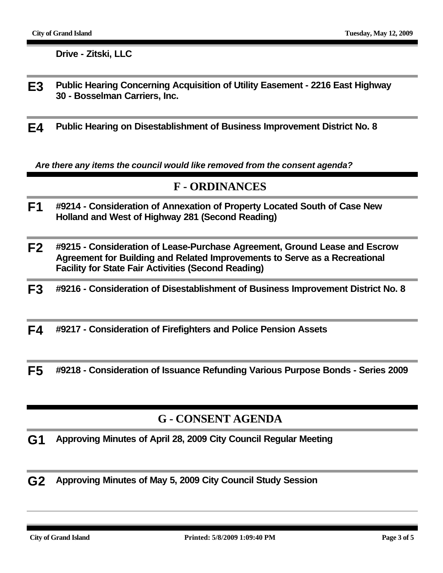**Drive - Zitski, LLC**

- **E3 Public Hearing Concerning Acquisition of Utility Easement 2216 East Highway 30 - Bosselman Carriers, Inc.**
- **E4 Public Hearing on Disestablishment of Business Improvement District No. 8**

*Are there any items the council would like removed from the consent agenda?*

#### **F - ORDINANCES**

- **F1 #9214 Consideration of Annexation of Property Located South of Case New Holland and West of Highway 281 (Second Reading)**
- **F2 #9215 Consideration of Lease-Purchase Agreement, Ground Lease and Escrow Agreement for Building and Related Improvements to Serve as a Recreational Facility for State Fair Activities (Second Reading)**
- **F3 #9216 Consideration of Disestablishment of Business Improvement District No. 8**
- **F4 #9217 Consideration of Firefighters and Police Pension Assets**

**F5 #9218 - Consideration of Issuance Refunding Various Purpose Bonds - Series 2009**

#### **G - CONSENT AGENDA**

- **G1 Approving Minutes of April 28, 2009 City Council Regular Meeting**
- **G2 Approving Minutes of May 5, 2009 City Council Study Session**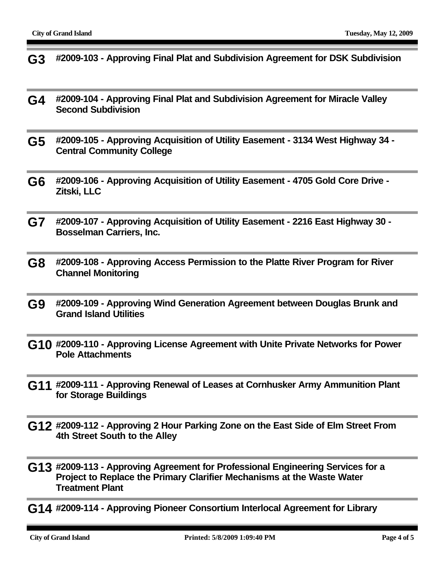- **G3 #2009-103 Approving Final Plat and Subdivision Agreement for DSK Subdivision**
- **G4 #2009-104 Approving Final Plat and Subdivision Agreement for Miracle Valley Second Subdivision**
- **G5 #2009-105 Approving Acquisition of Utility Easement 3134 West Highway 34 Central Community College**
- **G6 #2009-106 Approving Acquisition of Utility Easement 4705 Gold Core Drive Zitski, LLC**
- **G7 #2009-107 Approving Acquisition of Utility Easement 2216 East Highway 30 Bosselman Carriers, Inc.**
- **G8 #2009-108 Approving Access Permission to the Platte River Program for River Channel Monitoring**
- **G9 #2009-109 Approving Wind Generation Agreement between Douglas Brunk and Grand Island Utilities**
- **G10 #2009-110 Approving License Agreement with Unite Private Networks for Power Pole Attachments**
- **G11 #2009-111 Approving Renewal of Leases at Cornhusker Army Ammunition Plant for Storage Buildings**
- **G12 #2009-112 Approving 2 Hour Parking Zone on the East Side of Elm Street From 4th Street South to the Alley**
- **G13 #2009-113 Approving Agreement for Professional Engineering Services for a Project to Replace the Primary Clarifier Mechanisms at the Waste Water Treatment Plant**
- **G14 #2009-114 Approving Pioneer Consortium Interlocal Agreement for Library**